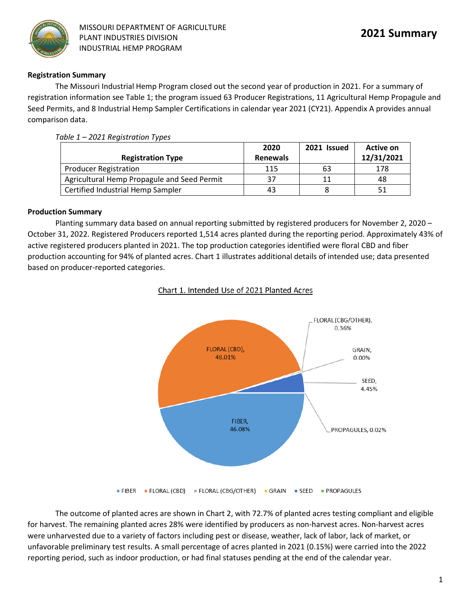

### **Registration Summary**

The Missouri Industrial Hemp Program closed out the second year of production in 2021. For a summary of registration information see Table 1; the program issued 63 Producer Registrations, 11 Agricultural Hemp Propagule and Seed Permits, and 8 Industrial Hemp Sampler Certifications in calendar year 2021 (CY21). Appendix A provides annual comparison data.

| <b>Registration Type</b>                    | 2020<br><b>Renewals</b> | 2021 Issued | Active on<br>12/31/2021 |
|---------------------------------------------|-------------------------|-------------|-------------------------|
| <b>Producer Registration</b>                | 115                     | 63          | 178                     |
| Agricultural Hemp Propagule and Seed Permit | 37                      |             | 48                      |
| Certified Industrial Hemp Sampler           | 43                      |             |                         |

### *Table 1 – 2021 Registration Types*

### **Production Summary**

Planting summary data based on annual reporting submitted by registered producers for November 2, 2020 – October 31, 2022. Registered Producers reported 1,514 acres planted during the reporting period. Approximately 43% of active registered producers planted in 2021. The top production categories identified were floral CBD and fiber production accounting for 94% of planted acres. Chart 1 illustrates additional details of intended use; data presented based on producer-reported categories.

### Chart 1. Intended Use of 2021 Planted Acres



The outcome of planted acres are shown in Chart 2, with 72.7% of planted acres testing compliant and eligible for harvest. The remaining planted acres 28% were identified by producers as non-harvest acres. Non-harvest acres were unharvested due to a variety of factors including pest or disease, weather, lack of labor, lack of market, or unfavorable preliminary test results. A small percentage of acres planted in 2021 (0.15%) were carried into the 2022 reporting period, such as indoor production, or had final statuses pending at the end of the calendar year.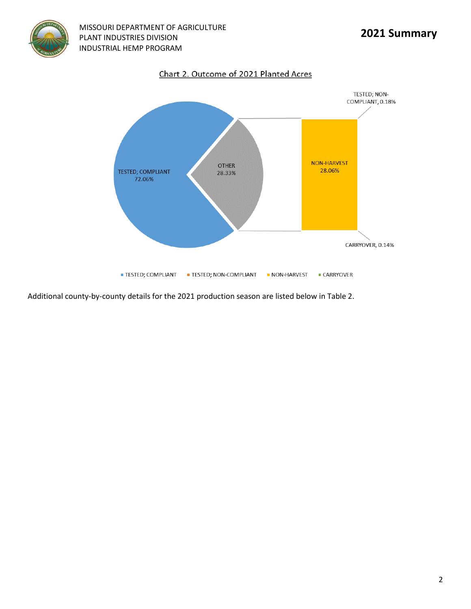

**MISSOURI DEPARTMENT OF AGRICULTURE**<br>PLANT INDUSTRIES DIVISION PLANT INDUSTRIES DIVISION INDUSTRIAL HEMP PROGRAM





Additional county-by-county details for the 2021 production season are listed below in Table 2.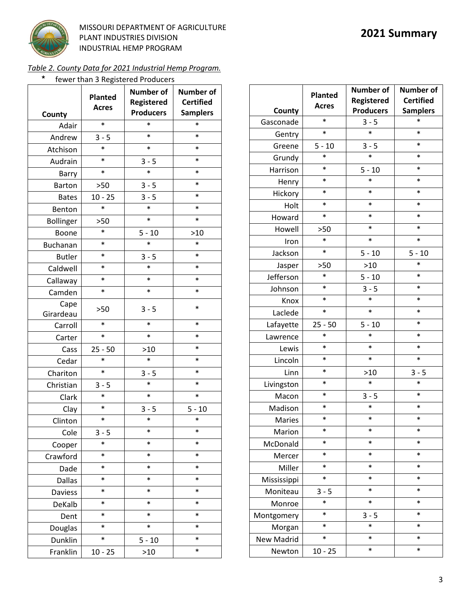

**MISSOURI DEPARTMENT OF AGRICULTURE**<br>PLANT INDUSTRIES DIVISION PLANT INDUSTRIES DIVISION INDUSTRIAL HEMP PROGRAM

*Table 2. County Data for 2021 Industrial Hemp Program.*

| *<br>fewer than 3 Registered Producers |                                |                                                    |                                                         |  |  |
|----------------------------------------|--------------------------------|----------------------------------------------------|---------------------------------------------------------|--|--|
| County                                 | <b>Planted</b><br><b>Acres</b> | <b>Number of</b><br>Registered<br><b>Producers</b> | <b>Number of</b><br><b>Certified</b><br><b>Samplers</b> |  |  |
| Adair                                  | $\ast$                         | *                                                  | $\ast$                                                  |  |  |
| Andrew                                 | $3 - 5$                        | $\ast$                                             | $\ast$                                                  |  |  |
| Atchison                               | *                              | $\ast$                                             | *                                                       |  |  |
| Audrain                                | $\ast$                         | $3 - 5$                                            | $\ast$                                                  |  |  |
| Barry                                  | $\ast$                         | $\ast$                                             | $\ast$                                                  |  |  |
| <b>Barton</b>                          | >50                            | $3 - 5$                                            | *                                                       |  |  |
| <b>Bates</b>                           | $10 - 25$                      | $3 - 5$                                            | $\ast$                                                  |  |  |
| Benton                                 | *                              | $\ast$                                             | $\ast$                                                  |  |  |
| Bollinger                              | >50                            | $\ast$                                             | $\ast$                                                  |  |  |
| Boone                                  | *                              | $5 - 10$                                           | >10                                                     |  |  |
| <b>Buchanan</b>                        | $\ast$                         | $\ast$                                             | $\ast$                                                  |  |  |
| <b>Butler</b>                          | $\ast$                         | $3 - 5$                                            | $\ast$                                                  |  |  |
| Caldwell                               | *                              | $\ast$                                             | $\ast$                                                  |  |  |
| Callaway                               | $\ast$                         | $\ast$                                             | $\ast$                                                  |  |  |
| Camden                                 | $\ast$                         | $\ast$                                             | *                                                       |  |  |
| Cape<br>Girardeau                      | >50                            | $3 - 5$                                            | $\ast$                                                  |  |  |
| Carroll                                | $\ast$                         | $\ast$                                             | $\ast$                                                  |  |  |
| Carter                                 | $\ast$                         | $\ast$                                             | $\ast$                                                  |  |  |
| Cass                                   | $25 - 50$                      | >10                                                | $\ast$                                                  |  |  |
| Cedar                                  | *                              | $\ast$                                             | *                                                       |  |  |
| Chariton                               | $\ast$                         | $3 - 5$                                            | $\ast$                                                  |  |  |
| Christian                              | $3 - 5$                        | $\ast$                                             | $\ast$                                                  |  |  |
| Clark                                  | $\ast$                         | $\ast$                                             | $\ast$                                                  |  |  |
| Clay                                   | $\ast$                         | $3 - 5$                                            | $5 - 10$                                                |  |  |
| Clinton                                | $\ast$                         | $\ast$                                             | $\ast$                                                  |  |  |
| Cole                                   | $3 - 5$                        | $\ast$                                             | $\ast$                                                  |  |  |
| Cooper                                 | *                              | $\ast$                                             | *                                                       |  |  |
| Crawford                               | $\ast$                         | $\ast$                                             | $\ast$                                                  |  |  |
| Dade                                   | *                              | $\ast$                                             | *                                                       |  |  |
| <b>Dallas</b>                          | *                              | $\ast$                                             | *                                                       |  |  |
| Daviess                                | *                              | $\ast$                                             | $\ast$                                                  |  |  |
| DeKalb                                 | *                              | $\ast$                                             | *                                                       |  |  |
| Dent                                   | $\ast$                         | $\ast$                                             | *                                                       |  |  |
| Douglas                                | *                              | $\ast$                                             | *                                                       |  |  |
| Dunklin                                | *                              | $5 - 10$                                           | $\ast$                                                  |  |  |
| Franklin                               | $10 - 25$                      | >10                                                | $\ast$                                                  |  |  |
|                                        |                                |                                                    |                                                         |  |  |

|               | Planted      | <b>Number of</b><br>Registered | <b>Number of</b><br><b>Certified</b><br><b>Samplers</b> |  |
|---------------|--------------|--------------------------------|---------------------------------------------------------|--|
| County        | <b>Acres</b> | <b>Producers</b>               |                                                         |  |
| Gasconade     | $\ast$       | $3 - 5$                        | $\ast$                                                  |  |
| Gentry        | $\ast$       | $\ast$                         | $\ast$                                                  |  |
| Greene        | $5 - 10$     | $3 - 5$                        | $\ast$                                                  |  |
| Grundy        | $\ast$       | $\ast$                         | $\ast$                                                  |  |
| Harrison      | $\ast$       | $5 - 10$                       | *                                                       |  |
| Henry         | $\ast$       | *                              | $\ast$                                                  |  |
| Hickory       | $\ast$       | $\ast$                         | $\ast$                                                  |  |
| Holt          | $\ast$       | $\ast$                         | $\ast$                                                  |  |
| Howard        | $\ast$       | $\ast$                         | $\ast$                                                  |  |
| Howell        | >50          | ∗                              | $\ast$                                                  |  |
| Iron          | $\ast$       | $\ast$                         | $\ast$                                                  |  |
| Jackson       | $\ast$       | $5 - 10$                       | $5 - 10$                                                |  |
| Jasper        | >50          | $>10$                          | $\ast$                                                  |  |
| Jefferson     | $\ast$       | $5 - 10$                       | $\ast$                                                  |  |
| Johnson       | $\ast$       | $3 - 5$                        | $\ast$                                                  |  |
| Knox          | $\ast$       | $\ast$                         | $\ast$                                                  |  |
| Laclede       | $\ast$       | $\ast$                         | *                                                       |  |
| Lafayette     | $25 - 50$    | $5 - 10$                       | $\ast$                                                  |  |
| Lawrence      | $\ast$       | $\ast$                         | $\ast$                                                  |  |
| Lewis         | $\ast$       | $\ast$                         | $\ast$                                                  |  |
| Lincoln       | $\ast$       | $\ast$                         | $\ast$                                                  |  |
| Linn          | $\ast$       | $>10$                          | $3 - 5$                                                 |  |
| Livingston    | $\ast$       | $\ast$                         | $\ast$                                                  |  |
| Macon         | *            | $3 - 5$                        | $\ast$                                                  |  |
| Madison       | $\ast$       | $\ast$                         | $\ast$                                                  |  |
| <b>Maries</b> | *            | $\ast$                         | $\ast$                                                  |  |
| Marion        | *            | $\ast$                         | *                                                       |  |
| McDonald      | $\ast$       | $\ast$                         | *                                                       |  |
| Mercer        | *            | $\ast$                         | *                                                       |  |
| Miller        | *            | $\ast$                         | *                                                       |  |
| Mississippi   | *            | $\ast$                         | $\ast$                                                  |  |
| Moniteau      | $3 - 5$      | $\ast$                         | $\ast$                                                  |  |
| Monroe        | *            | $\ast$                         | $\ast$                                                  |  |
| Montgomery    | *            | $3 - 5$                        | $\ast$                                                  |  |
| Morgan        | *            | $\ast$                         | *                                                       |  |
| New Madrid    | *            | $\ast$                         | *                                                       |  |
| Newton        | $10 - 25$    | $\ast$                         | $\ast$                                                  |  |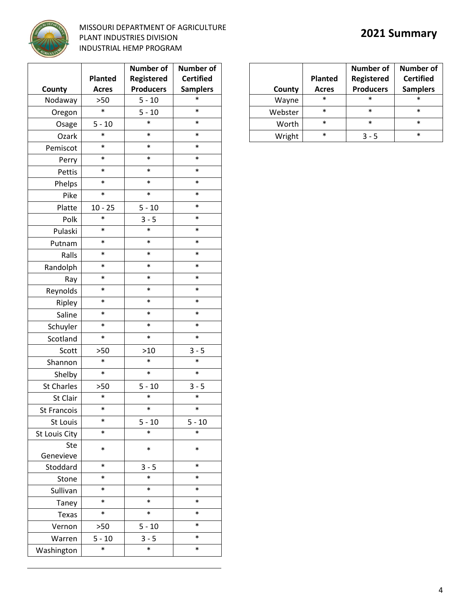

## **MISSOURI DEPARTMENT OF AGRICULTURE**<br>PLANT INDUSTRIES DIVISION PLANT INDUSTRIES DIVISION INDUSTRIAL HEMP PROGRAM

|                    |                | <b>Number of</b> | <b>Number of</b> |  |
|--------------------|----------------|------------------|------------------|--|
|                    | <b>Planted</b> | Registered       | <b>Certified</b> |  |
| County             | <b>Acres</b>   | <b>Producers</b> | <b>Samplers</b>  |  |
| Nodaway            | >50            | $5 - 10$         | $\ast$           |  |
| Oregon             | $\ast$         | $5 - 10$         | $\ast$           |  |
| Osage              | $5 - 10$       | $\ast$           | $\ast$           |  |
| Ozark              | $\ast$         | $\ast$           | $\ast$           |  |
| Pemiscot           | $\ast$         | $\ast$           | $\ast$           |  |
| Perry              | $\ast$         | $\ast$           | $\ast$           |  |
| Pettis             | $\ast$         | $\ast$           | $\ast$           |  |
| Phelps             | *              | $\ast$           | $\ast$           |  |
| Pike               | *              | $\ast$           | $\ast$           |  |
| Platte             | $10 - 25$      | $5 - 10$         | $\ast$           |  |
| Polk               | *              | $3 - 5$          | $\ast$           |  |
| Pulaski            | $\ast$         | $\ast$           | $\ast$           |  |
| Putnam             | $\ast$         | $\ast$           | $\ast$           |  |
| Ralls              | *              | $\ast$           | $\ast$           |  |
| Randolph           | $\ast$         | $\ast$           | $\ast$           |  |
| Ray                | *              | $\ast$           | $\ast$           |  |
| Reynolds           | *              | $\ast$           | $\ast$           |  |
| Ripley             | $\ast$         | $\ast$           | $\ast$           |  |
| Saline             | $\ast$         | $\ast$           | $\ast$           |  |
| Schuyler           | $\ast$         | $\ast$           | $\ast$           |  |
| Scotland           | $\ast$         | $\ast$           | $\ast$           |  |
| Scott              | >50            | $>10$            | $3 - 5$          |  |
| Shannon            | $\ast$         | $\ast$           | $\ast$           |  |
| Shelby             | $\ast$         | $\ast$           | $\ast$           |  |
| <b>St Charles</b>  | >50            | $5 - 10$         | $3 - 5$          |  |
| St Clair           | $\ast$         | $\ast$           | $\ast$           |  |
| <b>St Francois</b> | *              | ∗                | ∗                |  |
| St Louis           | *              | $5 - 10$         | $5 - 10$         |  |
| St Louis City      | *              | $\ast$           | $\ast$           |  |
| Ste                | *              | $\ast$           | $\ast$           |  |
| Genevieve          |                |                  |                  |  |
| Stoddard           | *              | $3 - 5$          | $\ast$           |  |
| Stone              | $\ast$         | $\ast$           | $\ast$           |  |
| Sullivan           | *              | $\ast$           | $\ast$           |  |
| Taney              | *              | $\ast$           | $\ast$           |  |
| Texas              | *              | $\ast$           | $\ast$           |  |
| Vernon             | >50            | $5 - 10$         | $\ast$           |  |
| Warren             | $5 - 10$       | $3 - 5$          | $\ast$           |  |
| Washington         | $\ast$         | $\ast$           | $\ast$           |  |

| County  | <b>Planted</b><br><b>Acres</b> | <b>Number of</b><br>Registered<br><b>Producers</b> | <b>Number of</b><br><b>Certified</b><br><b>Samplers</b> |
|---------|--------------------------------|----------------------------------------------------|---------------------------------------------------------|
| Wayne   | $\ast$                         | $\ast$                                             | $\ast$                                                  |
| Webster | $\ast$                         | $\ast$                                             | $\ast$                                                  |
| Worth   | $\ast$                         | $\ast$                                             | $\ast$                                                  |
| Wright  | $\star$                        | 3 - 5                                              | $\ast$                                                  |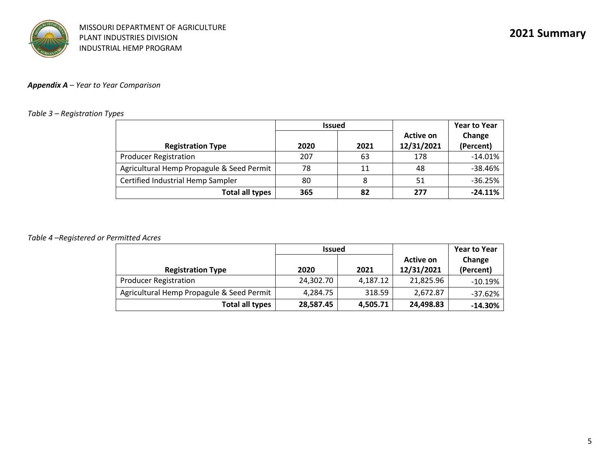# *Appendix A – Year to Year Comparison*

## *Table 3 – Registration Types*

|                                           | <b>Issued</b> |      |                         | <b>Year to Year</b> |
|-------------------------------------------|---------------|------|-------------------------|---------------------|
| <b>Registration Type</b>                  | 2020          | 2021 | Active on<br>12/31/2021 | Change<br>(Percent) |
| <b>Producer Registration</b>              | 207           | 63   | 178                     | $-14.01%$           |
| Agricultural Hemp Propagule & Seed Permit | 78            | 11   | 48                      | $-38.46%$           |
| Certified Industrial Hemp Sampler         | 80            |      | 51                      | $-36.25%$           |
| <b>Total all types</b>                    | 365           | 82   | 277                     | $-24.11%$           |

### *Table 4 –Registered or Permitted Acres*

|                                           | <b>Issued</b> |          |                         | <b>Year to Year</b> |
|-------------------------------------------|---------------|----------|-------------------------|---------------------|
| <b>Registration Type</b>                  | 2020          | 2021     | Active on<br>12/31/2021 | Change<br>(Percent) |
| <b>Producer Registration</b>              | 24,302.70     | 4,187.12 | 21,825.96               | $-10.19%$           |
| Agricultural Hemp Propagule & Seed Permit | 4,284.75      | 318.59   | 2,672.87                | $-37.62%$           |
| Total all types                           | 28,587.45     | 4,505.71 | 24,498.83               | $-14.30%$           |